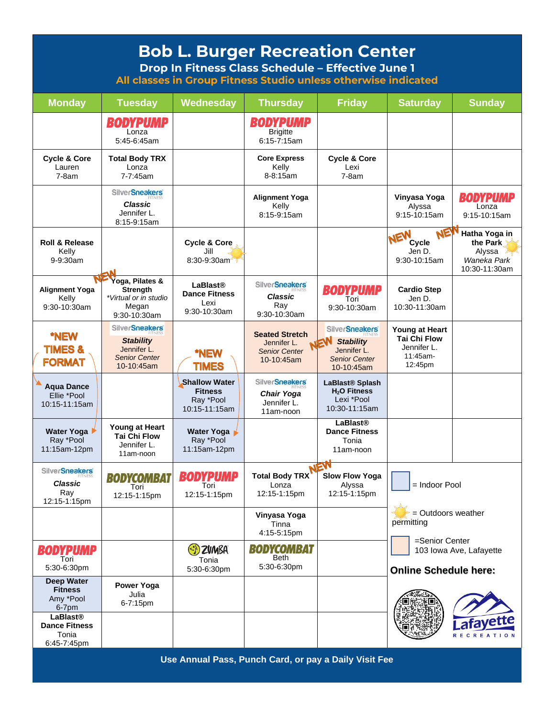| <b>Bob L. Burger Recreation Center</b><br>Drop In Fitness Class Schedule - Effective June 1<br>All classes in Group Fitness Studio unless otherwise indicated |                                                                                                |                                                                      |                                                                            |                                                                                                       |                                                                             |                                                                     |  |
|---------------------------------------------------------------------------------------------------------------------------------------------------------------|------------------------------------------------------------------------------------------------|----------------------------------------------------------------------|----------------------------------------------------------------------------|-------------------------------------------------------------------------------------------------------|-----------------------------------------------------------------------------|---------------------------------------------------------------------|--|
| <b>Monday</b>                                                                                                                                                 | <b>Tuesday</b>                                                                                 | Wednesday                                                            | <b>Thursday</b>                                                            | <b>Friday</b>                                                                                         | <b>Saturday</b>                                                             | <b>Sunday</b>                                                       |  |
|                                                                                                                                                               | <b>BODYPUMP</b><br>Lonza<br>5:45-6:45am                                                        |                                                                      | <b>BODYPUMP</b><br><b>Brigitte</b><br>$6:15 - 7:15$ am                     |                                                                                                       |                                                                             |                                                                     |  |
| <b>Cycle &amp; Core</b><br>Lauren<br>$7-8am$                                                                                                                  | <b>Total Body TRX</b><br>Lonza<br>7-7:45am                                                     |                                                                      | <b>Core Express</b><br>Kelly<br>8-8:15am                                   | <b>Cycle &amp; Core</b><br>Lexi<br>$7-8am$                                                            |                                                                             |                                                                     |  |
|                                                                                                                                                               | <b>SilverSneakers</b><br><b>Classic</b><br>Jennifer L.<br>8:15-9:15am                          |                                                                      | <b>Alignment Yoga</b><br>Kelly<br>8:15-9:15am                              |                                                                                                       | Vinyasa Yoga<br>Alyssa<br>9:15-10:15am                                      | <b>BODYPUMP</b><br>Lonza<br>9:15-10:15am                            |  |
| <b>Roll &amp; Release</b><br>Kelly<br>9-9:30am                                                                                                                |                                                                                                | <b>Cycle &amp; Core</b><br>Jill<br>8:30-9:30am                       |                                                                            |                                                                                                       | NE<br>NEW<br>Cycle<br>Jen D.<br>9:30-10:15am                                | Hatha Yoga in<br>the Park<br>Alyssa<br>Waneka Park<br>10:30-11:30am |  |
| <b>Alignment Yoga</b><br>Kelly<br>9:30-10:30am                                                                                                                | Yoga, Pilates &<br><b>Strenath</b><br>*Virtual or in studio<br>Megan<br>9:30-10:30am           | <b>LaBlast®</b><br><b>Dance Fitness</b><br>Lexi<br>9:30-10:30am      | <b>SilverSneakers</b><br>Classic<br>Rav<br>9:30-10:30am                    | <b>BODYPUMP</b><br>Tori<br>9:30-10:30am                                                               | <b>Cardio Step</b><br>Jen D.<br>10:30-11:30am                               |                                                                     |  |
| *NEW<br><b>TIMES&amp;</b><br><b>FORMAT</b>                                                                                                                    | <b>SilverSneakers</b><br><b>Stability</b><br>Jennifer L.<br><b>Senior Center</b><br>10-10:45am | *NEW<br><b>TIMES</b>                                                 | <b>Seated Stretch</b><br>Jennifer L.<br><b>Senior Center</b><br>10-10:45am | <b>SilverSneakers</b><br>NEW<br><b>Stability</b><br>Jennifer L.<br><b>Senior Center</b><br>10-10:45am | Young at Heart<br><b>Tai Chi Flow</b><br>Jennifer L.<br>11:45am-<br>12:45pm |                                                                     |  |
| <b>Aqua Dance</b><br>Ellie *Pool<br>10:15-11:15am                                                                                                             |                                                                                                | <b>Shallow Water</b><br><b>Fitness</b><br>Ray *Pool<br>10:15-11:15am | <b>SilverSneakers</b><br><b>Chair Yoga</b><br>Jennifer L.<br>11am-noon     | LaBlast <sup>®</sup> Splash<br>H <sub>2</sub> O Fitness<br>Lexi *Pool<br>10:30-11:15am                |                                                                             |                                                                     |  |
| Water Yoga<br>Ray *Pool<br>11:15am-12pm                                                                                                                       | Young at Heart<br><b>Tai Chi Flow</b><br>Jenniter L.<br>11am-noon                              | Water Yoga<br>Ray *Pool<br>11:15am-12pm                              |                                                                            | <b>LaBlast®</b><br><b>Dance Fitness</b><br>Tonia<br>11am-noon                                         |                                                                             |                                                                     |  |
| SilverSneakers'<br>Classic<br>Ray<br>12:15-1:15pm                                                                                                             | <b>BODYCOMBAT</b><br>Tori<br>12:15-1:15pm                                                      | <b>BODYPUMP</b><br>Tori<br>12:15-1:15pm                              | <b>Total Body TRX</b><br>Lonza<br>12:15-1:15pm                             | <b>Slow Flow Yoga</b><br>Alyssa<br>12:15-1:15pm                                                       | = Indoor Pool<br>= Outdoors weather<br>permitting<br>=Senior Center         |                                                                     |  |
|                                                                                                                                                               |                                                                                                |                                                                      | Vinyasa Yoga<br>Tinna<br>4:15-5:15pm                                       |                                                                                                       |                                                                             |                                                                     |  |
| <b>BODYPUMP</b><br>Tori<br>5:30-6:30pm                                                                                                                        |                                                                                                | (S) ZUMBA<br>Tonia<br>5:30-6:30pm                                    | <b>BODYCOMBAT</b><br><b>Beth</b><br>5:30-6:30pm                            |                                                                                                       | 103 Iowa Ave, Lafayette<br><b>Online Schedule here:</b>                     |                                                                     |  |
| <b>Deep Water</b><br><b>Fitness</b><br>Amy *Pool<br>6-7pm<br><b>LaBlast®</b><br><b>Dance Fitness</b><br>Tonia<br>6:45-7:45pm                                  | Power Yoga<br>Julia<br>6-7:15pm                                                                |                                                                      |                                                                            |                                                                                                       |                                                                             | R E<br><b>REATION</b>                                               |  |
|                                                                                                                                                               |                                                                                                |                                                                      |                                                                            |                                                                                                       |                                                                             |                                                                     |  |

**Use Annual Pass, Punch Card, or pay a Daily Visit Fee**